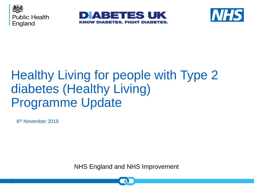





# Healthy Living for people with Type 2 diabetes (Healthy Living) Programme Update

6<sup>th</sup> November 2019

|

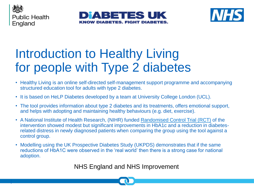





# Introduction to Healthy Living for people with Type 2 diabetes

- Healthy Living is an online self-directed self-management support programme and accompanying structured education tool for adults with type 2 diabetes.
- It is based on HeLP Diabetes developed by a team at University College London (UCL).
- The tool provides information about type 2 diabetes and its treatments, offers emotional support, and helps with adopting and maintaining healthy behaviours (e.g. diet, exercise).
- A National Institute of Health Research, (NIHR) funded Randomised [Control Trial \(RCT\)](https://bmjopen.bmj.com/content/7/9/e016009) of the intervention showed modest but significant improvements in HbA1c and a reduction in diabetesrelated distress in newly diagnosed patients when comparing the group using the tool against a control group.
- Modelling using the UK Prospective Diabetes Study (UKPDS) demonstrates that if the same reductions of HbA1C were observed in the 'real world' then there is a strong case for national adoption.

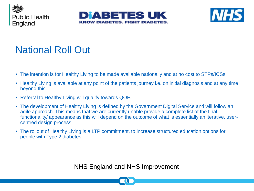





### National Roll Out

- The intention is for Healthy Living to be made available nationally and at no cost to STPs/ICSs.
- Healthy Living is available at any point of the patients journey i.e. on initial diagnosis and at any time beyond this.
- Referral to Healthy Living will qualify towards QOF.
- The development of Healthy Living is defined by the Government Digital Service and will follow an agile approach. This means that we are currently unable provide a complete list of the final functionality/ appearance as this will depend on the outcome of what is essentially an iterative, usercentred design process.
- The rollout of Healthy Living is a LTP commitment, to increase structured education options for people with Type 2 diabetes

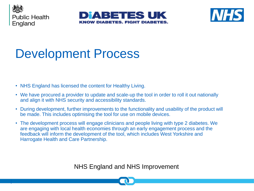





# Development Process

- NHS England has licensed the content for Healthy Living.
- We have procured a provider to update and scale-up the tool in order to roll it out nationally and align it with NHS security and accessibility standards.
- During development, further improvements to the functionality and usability of the product will be made. This includes optimising the tool for use on mobile devices.
- The development process will engage clinicians and people living with type 2 diabetes. We are engaging with local health economies through an early engagement process and the feedback will inform the development of the tool, which includes West Yorkshire and Harrogate Health and Care Partnership.

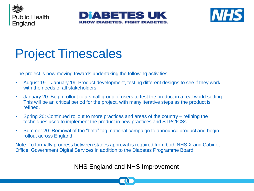





# Project Timescales

The project is now moving towards undertaking the following activities:

- August 19 January 19: Product development, testing different designs to see if they work with the needs of all stakeholders.
- January 20: Begin rollout to a small group of users to test the product in a real world setting. This will be an critical period for the project, with many iterative steps as the product is refined.
- Spring 20: Continued rollout to more practices and areas of the country refining the techniques used to implement the product in new practices and STPs/ICSs.
- Summer 20: Removal of the "beta" tag, national campaign to announce product and begin rollout across England.

Note: To formally progress between stages approval is required from both NHS X and Cabinet Office: Government Digital Services in addition to the Diabetes Programme Board.

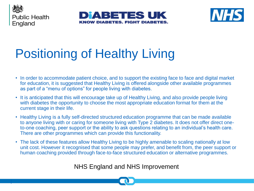





# Positioning of Healthy Living

- In order to accommodate patient choice, and to support the existing face to face and digital market for education, it is suggested that Healthy Living is offered alongside other available programmes as part of a "menu of options" for people living with diabetes.
- It is anticipated that this will encourage take up of Healthy Living, and also provide people living with diabetes the opportunity to choose the most appropriate education format for them at the current stage in their life.
- Healthy Living is a fully self-directed structured education programme that can be made available to anyone living with or caring for someone living with Type 2 diabetes. It does not offer direct oneto-one coaching, peer support or the ability to ask questions relating to an individual's health care. There are other programmes which can provide this functionality.
- The lack of these features allow Healthy Living to be highly amenable to scaling nationally at low unit cost. However it recognised that some people may prefer, and benefit from, the peer support or human coaching provided through face-to-face structured education or alternative programmes.

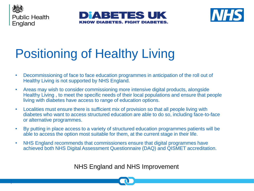





# Positioning of Healthy Living

- Decommissioning of face to face education programmes in anticipation of the roll out of Healthy Living is not supported by NHS England.
- Areas may wish to consider commissioning more intensive digital products, alongside Healthy Living , to meet the specific needs of their local populations and ensure that people living with diabetes have access to range of education options.
- Localities must ensure there is sufficient mix of provision so that all people living with diabetes who want to access structured education are able to do so, including face-to-face or alternative programmes.
- By putting in place access to a variety of structured education programmes patients will be able to access the option most suitable for them, at the current stage in their life.
- NHS England recommends that commissioners ensure that digital programmes have achieved both NHS Digital Assessment Questionnaire (DAQ) and QISMET accreditation.

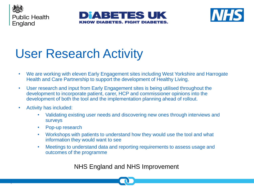





# User Research Activity

- We are working with eleven Early Engagement sites including West Yorkshire and Harrogate Health and Care Partnership to support the development of Healthy Living.
- User research and input from Early Engagement sites is being utilised throughout the development to incorporate patient, carer, HCP and commissioner opinions into the development of both the tool and the implementation planning ahead of rollout.
- Activity has included:

|

- Validating existing user needs and discovering new ones through interviews and surveys
- Pop-up research
- Workshops with patients to understand how they would use the tool and what information they would want to see
- Meetings to understand data and reporting requirements to assess usage and outcomes of the programme

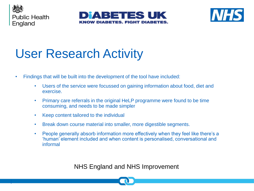





# User Research Activity

- Findings that will be built into the development of the tool have included:
	- Users of the service were focussed on gaining information about food, diet and exercise.
	- Primary care referrals in the original HeLP programme were found to be time consuming, and needs to be made simpler
	- Keep content tailored to the individual
	- Break down course material into smaller, more digestible segments.
	- People generally absorb information more effectively when they feel like there's a 'human' element included and when content is personalised, conversational and informal

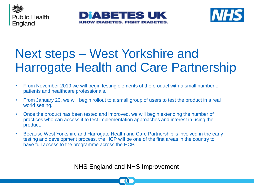





# Next steps – West Yorkshire and Harrogate Health and Care Partnership

- From November 2019 we will begin testing elements of the product with a small number of patients and healthcare professionals.
- From January 20, we will begin rollout to a small group of users to test the product in a real world setting.
- Once the product has been tested and improved, we will begin extending the number of practices who can access it to test implementation approaches and interest in using the product.
- Because West Yorkshire and Harrogate Health and Care Partnership is involved in the early testing and development process, the HCP will be one of the first areas in the country to have full access to the programme across the HCP.

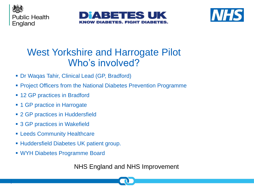





#### West Yorkshire and Harrogate Pilot Who's involved?

- Dr Waqas Tahir, Clinical Lead (GP, Bradford)
- **Project Officers from the National Diabetes Prevention Programme**
- 12 GP practices in Bradford
- **GP** practice in Harrogate
- 2 GP practices in Huddersfield
- 3 GP practices in Wakefield
- **ELEEDS Community Healthcare**
- Huddersfield Diabetes UK patient group.
- WYH Diabetes Programme Board

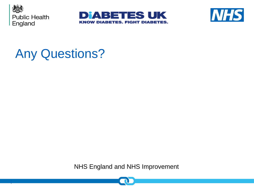





## Any Questions?